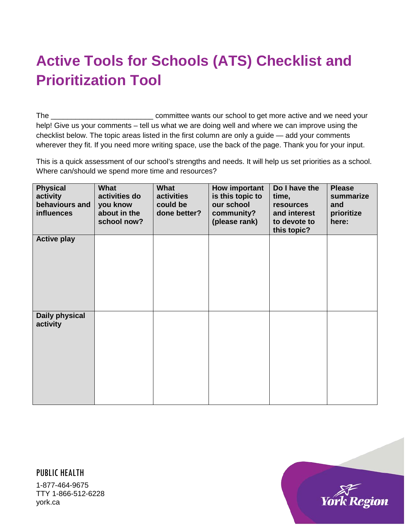## **Active Tools for Schools (ATS) Checklist and Prioritization Tool**

The \_\_\_\_\_\_\_\_\_\_\_\_\_\_\_\_\_\_\_\_\_\_\_\_\_\_\_\_\_\_\_\_\_\_\_ committee wants our school to get more active and we need your help! Give us your comments – tell us what we are doing well and where we can improve using the checklist below. The topic areas listed in the first column are only a guide — add your comments wherever they fit. If you need more writing space, use the back of the page. Thank you for your input.

This is a quick assessment of our school's strengths and needs. It will help us set priorities as a school. Where can/should we spend more time and resources?

| <b>Physical</b><br>activity<br>behaviours and<br><b>influences</b> | <b>What</b><br>activities do<br>you know<br>about in the<br>school now? | <b>What</b><br><b>activities</b><br>could be<br>done better? | How important<br>is this topic to<br>our school<br>community?<br>(please rank) | Do I have the<br>time,<br><b>resources</b><br>and interest<br>to devote to<br>this topic? | <b>Please</b><br>summarize<br>and<br>prioritize<br>here: |
|--------------------------------------------------------------------|-------------------------------------------------------------------------|--------------------------------------------------------------|--------------------------------------------------------------------------------|-------------------------------------------------------------------------------------------|----------------------------------------------------------|
| <b>Active play</b>                                                 |                                                                         |                                                              |                                                                                |                                                                                           |                                                          |
| <b>Daily physical</b><br>activity                                  |                                                                         |                                                              |                                                                                |                                                                                           |                                                          |

PUBLIC HEALTH 1-877-464-9675 TTY 1-866-512-6228 york.ca